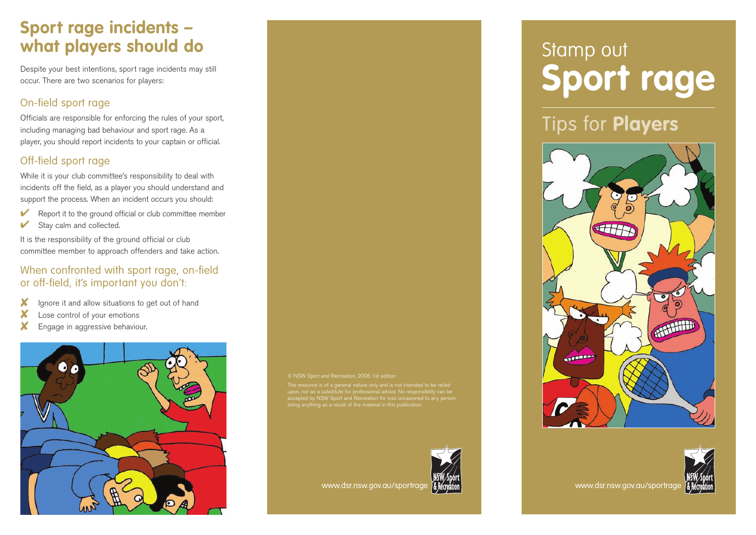## **Sport rage incidents – what players should do**

Despite your best intentions, sport rage incidents may still occur. There are two scenarios for players:

#### On-field sport rage

Officials are responsible for enforcing the rules of your sport, including managing bad behaviour and sport rage. As a player, you should report incidents to your captain or official.

### Off-field sport rage

While it is your club committee's responsibility to deal with incidents off the field, as a player you should understand and support the process. When an incident occurs you should:

- $\triangleright$  Report it to the ground official or club committee member
- $\blacktriangleright$  Stay calm and collected.

It is the responsibility of the ground official or club committee member to approach offenders and take action.

#### When confronted with sport rage, on-field or off-field, it's important you don't:

- ✘ Ignore it and allow situations to get out of hand
- X Lose control of your emotions
- ✘ Engage in aggressive behaviour.



a substitute for professional advice, No responsition of the angle of the angle of the angle of the angle of the angle of the angle of the angle of the angle of the angle of the angle of the angle of the angle of the angle thing as a result of the material in this publication



www.dsr.nsw.gov.au/sportrage **& Remation** 

# Stamp out **Sport rage**

Tips for **Players**